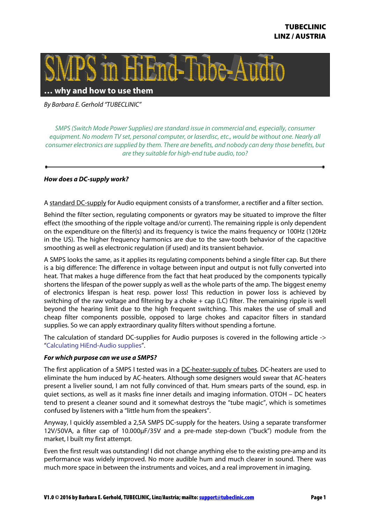

**… why and how to use them**

By Barbara E. Gerhold "TUBECLINIC"

SMPS (Switch Mode Power Supplies) are standard issue in commercial and, especially, consumer equipment. No modern TV set, personal computer, or laserdisc, etc., would be without one. Nearly all consumer electronics are supplied by them. There are benefits, and nobody can deny those benefits, but are they suitable for high-end tube audio, too?

## **How does a DC-supply work?**

A standard DC-supply for Audio equipment consists of a transformer, a rectifier and a filter section.

Behind the filter section, regulating components or gyrators may be situated to improve the filter effect (the smoothing of the ripple voltage and/or current). The remaining ripple is only dependent on the expenditure on the filter(s) and its frequency is twice the mains frequency or 100Hz (120Hz in the US). The higher frequency harmonics are due to the saw-tooth behavior of the capacitive smoothing as well as electronic regulation (if used) and its transient behavior.

A SMPS looks the same, as it applies its regulating components behind a single filter cap. But there is a big difference: The difference in voltage between input and output is not fully converted into heat. That makes a huge difference from the fact that heat produced by the components typically shortens the lifespan of the power supply as well as the whole parts of the amp. The biggest enemy of electronics lifespan is heat resp. power loss! This reduction in power loss is achieved by switching of the raw voltage and filtering by a choke + cap (LC) filter. The remaining ripple is well beyond the hearing limit due to the high frequent switching. This makes the use of small and cheap filter components possible, opposed to large chokes and capacitor filters in standard supplies. So we can apply extraordinary quality filters without spending a fortune.

The calculation of standard DC-supplies for Audio purposes is covered in the following article -> "Calculating HiEnd-Audio supplies".

## **For which purpose can we use a SMPS?**

The first application of a SMPS I tested was in a DC-heater-supply of tubes. DC-heaters are used to eliminate the hum induced by AC-heaters. Although some designers would swear that AC-heaters present a livelier sound, I am not fully convinced of that. Hum smears parts of the sound, esp. in quiet sections, as well as it masks fine inner details and imaging information. OTOH – DC heaters tend to present a cleaner sound and it somewhat destroys the "tube magic", which is sometimes confused by listeners with a "little hum from the speakers".

Anyway, I quickly assembled a 2,5A SMPS DC-supply for the heaters. Using a separate transformer 12V/50VA, a filter cap of 10.000μF/35V and a pre-made step-down ("buck") module from the market, I built my first attempt.

Even the first result was outstanding! I did not change anything else to the existing pre-amp and its performance was widely improved. No more audible hum and much clearer in sound. There was much more space in between the instruments and voices, and a real improvement in imaging.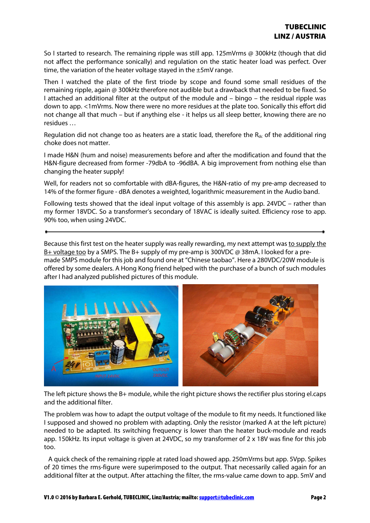So I started to research. The remaining ripple was still app. 125mVrms @ 300kHz (though that did not affect the performance sonically) and regulation on the static heater load was perfect. Over time, the variation of the heater voltage stayed in the ±5mV range.

Then I watched the plate of the first triode by scope and found some small residues of the remaining ripple, again @ 300kHz therefore not audible but a drawback that needed to be fixed. So I attached an additional filter at the output of the module and – bingo – the residual ripple was down to app. <1mVrms. Now there were no more residues at the plate too. Sonically this effort did not change all that much – but if anything else - it helps us all sleep better, knowing there are no residues …

Regulation did not change too as heaters are a static load, therefore the  $R_{dc}$  of the additional ring choke does not matter.

I made H&N (hum and noise) measurements before and after the modification and found that the H&N-figure decreased from former -79dbA to -96dBA. A big improvement from nothing else than changing the heater supply!

Well, for readers not so comfortable with dBA-figures, the H&N-ratio of my pre-amp decreased to 14% of the former figure - dBA denotes a weighted, logarithmic measurement in the Audio band.

Following tests showed that the ideal input voltage of this assembly is app. 24VDC – rather than my former 18VDC. So a transformer's secondary of 18VAC is ideally suited. Efficiency rose to app. 90% too, when using 24VDC.

Because this first test on the heater supply was really rewarding, my next attempt was to supply the B+ voltage too by a SMPS. The B+ supply of my pre-amp is 300VDC @ 38mA. I looked for a premade SMPS module for this job and found one at "Chinese taobao". Here a 280VDC/20W module is offered by some dealers. A Hong Kong friend helped with the purchase of a bunch of such modules after I had analyzed published pictures of this module.



The left picture shows the B+ module, while the right picture shows the rectifier plus storing el.caps and the additional filter.

The problem was how to adapt the output voltage of the module to fit my needs. It functioned like I supposed and showed no problem with adapting. Only the resistor (marked A at the left picture) needed to be adapted. Its switching frequency is lower than the heater buck-module and reads app. 150kHz. Its input voltage is given at 24VDC, so my transformer of 2 x 18V was fine for this job too.

 A quick check of the remaining ripple at rated load showed app. 250mVrms but app. 5Vpp. Spikes of 20 times the rms-figure were superimposed to the output. That necessarily called again for an additional filter at the output. After attaching the filter, the rms-value came down to app. 5mV and